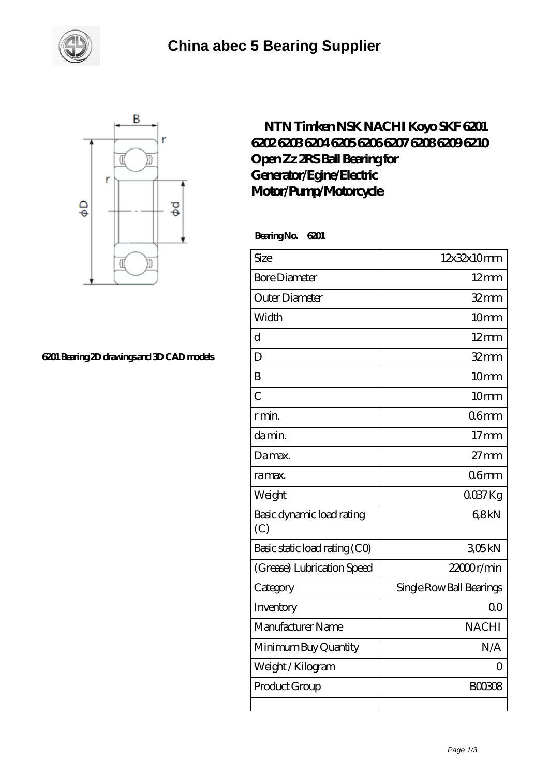



## **[6201 Bearing 2D drawings and 3D CAD models](https://m.smokehousewinery.com/pic-563884.html)**

## **[NTN Timken NSK NACHI Koyo SKF 6201](https://m.smokehousewinery.com/koyo-6205-bearing/ntn-timken-nsk-nachi-koyo-skf-6201-6202-6203-6204-6205-6206-6207-6208-6209-6210-open-zz-2rs-ball-bearing-for-generator-egine-electric-motor-pump-motorcycle.html) [6202 6203 6204 6205 6206 6207 6208 6209 6210](https://m.smokehousewinery.com/koyo-6205-bearing/ntn-timken-nsk-nachi-koyo-skf-6201-6202-6203-6204-6205-6206-6207-6208-6209-6210-open-zz-2rs-ball-bearing-for-generator-egine-electric-motor-pump-motorcycle.html) [Open Zz 2RS Ball Bearing for](https://m.smokehousewinery.com/koyo-6205-bearing/ntn-timken-nsk-nachi-koyo-skf-6201-6202-6203-6204-6205-6206-6207-6208-6209-6210-open-zz-2rs-ball-bearing-for-generator-egine-electric-motor-pump-motorcycle.html) [Generator/Egine/Electric](https://m.smokehousewinery.com/koyo-6205-bearing/ntn-timken-nsk-nachi-koyo-skf-6201-6202-6203-6204-6205-6206-6207-6208-6209-6210-open-zz-2rs-ball-bearing-for-generator-egine-electric-motor-pump-motorcycle.html) [Motor/Pump/Motorcycle](https://m.smokehousewinery.com/koyo-6205-bearing/ntn-timken-nsk-nachi-koyo-skf-6201-6202-6203-6204-6205-6206-6207-6208-6209-6210-open-zz-2rs-ball-bearing-for-generator-egine-electric-motor-pump-motorcycle.html)**

 **Bearing No. 6201**

| Size                             | 12x32x10mm               |
|----------------------------------|--------------------------|
| <b>Bore Diameter</b>             | $12$ mm                  |
| Outer Diameter                   | $32$ mm                  |
| Width                            | 10mm                     |
| $\overline{\rm d}$               | $12 \text{mm}$           |
| D                                | $32$ mm                  |
| B                                | 10mm                     |
| $\overline{C}$                   | 10 <sub>mm</sub>         |
| r min.                           | 06 <sub>mm</sub>         |
| da min.                          | $17$ mm                  |
| Damax.                           | $27 \text{mm}$           |
| ra max.                          | 06 <sub>mm</sub>         |
| Weight                           | $0037$ Kg                |
| Basic dynamic load rating<br>(C) | 68kN                     |
| Basic static load rating (CO)    | 305kN                    |
| (Grease) Lubrication Speed       | 22000r/min               |
| Category                         | Single Row Ball Bearings |
| Inventory                        | 0 <sup>0</sup>           |
| Manufacturer Name                | <b>NACHI</b>             |
| Minimum Buy Quantity             | N/A                      |
| Weight/Kilogram                  | Ω                        |
| Product Group                    | <b>BOO3O8</b>            |
|                                  |                          |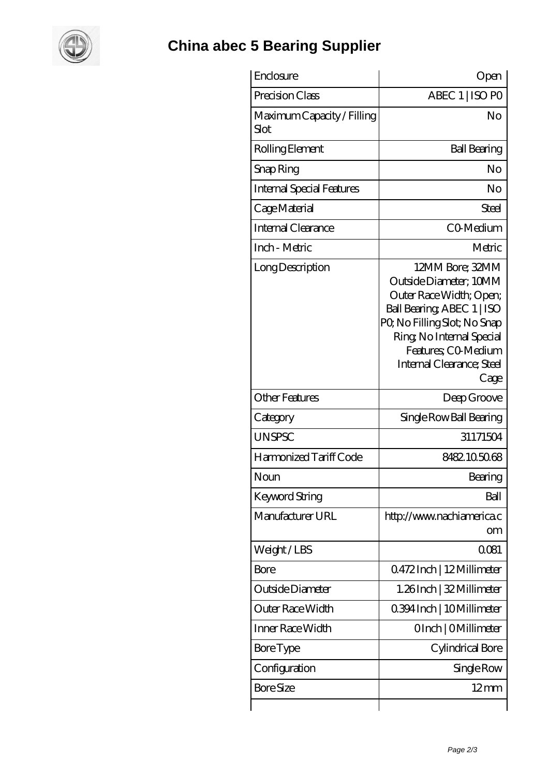

## **[China abec 5 Bearing Supplier](https://m.smokehousewinery.com)**

| Enclosure                          | Open                                                                                                                                                                                                                       |
|------------------------------------|----------------------------------------------------------------------------------------------------------------------------------------------------------------------------------------------------------------------------|
| Precision Class                    | ABEC 1   ISO PO                                                                                                                                                                                                            |
| Maximum Capacity / Filling<br>Slot | No                                                                                                                                                                                                                         |
| Rolling Element                    | <b>Ball Bearing</b>                                                                                                                                                                                                        |
| Snap Ring                          | No                                                                                                                                                                                                                         |
| <b>Internal Special Features</b>   | No                                                                                                                                                                                                                         |
| Cage Material                      | Steel                                                                                                                                                                                                                      |
| <b>Internal Clearance</b>          | CO-Medium                                                                                                                                                                                                                  |
| Inch - Metric                      | Metric                                                                                                                                                                                                                     |
| Long Description                   | 12MM Bore; 32MM<br>Outside Diameter; 10MM<br>Outer Race Width; Open;<br>Ball Bearing, ABEC 1   ISO<br>PQ No Filling Slot; No Snap<br>Ring, No Internal Special<br>Features; CO-Medium<br>Internal Clearance; Steel<br>Cage |
| <b>Other Features</b>              | Deep Groove                                                                                                                                                                                                                |
| Category                           | Single Row Ball Bearing                                                                                                                                                                                                    |
| <b>UNSPSC</b>                      | 31171504                                                                                                                                                                                                                   |
| Harmonized Tariff Code             | 8482.105068                                                                                                                                                                                                                |
| Noun                               | Bearing                                                                                                                                                                                                                    |
| Keyword String                     | Ball                                                                                                                                                                                                                       |
| Manufacturer URL                   | http://www.nachiamerica.c<br>om                                                                                                                                                                                            |
| Weight/LBS                         | 0081                                                                                                                                                                                                                       |
| <b>Bore</b>                        | 0472Inch   12Millimeter                                                                                                                                                                                                    |
| Outside Diameter                   | 1.26Inch   32 Millimeter                                                                                                                                                                                                   |
| Outer Race Width                   | 0.394 Inch   10 Millimeter                                                                                                                                                                                                 |
| Inner Race Width                   | OInch   OMillimeter                                                                                                                                                                                                        |
| <b>Bore Type</b>                   | Cylindrical Bore                                                                                                                                                                                                           |
| Configuration                      | Single Row                                                                                                                                                                                                                 |
| <b>Bore Size</b>                   | $12 \text{mm}$                                                                                                                                                                                                             |
|                                    |                                                                                                                                                                                                                            |